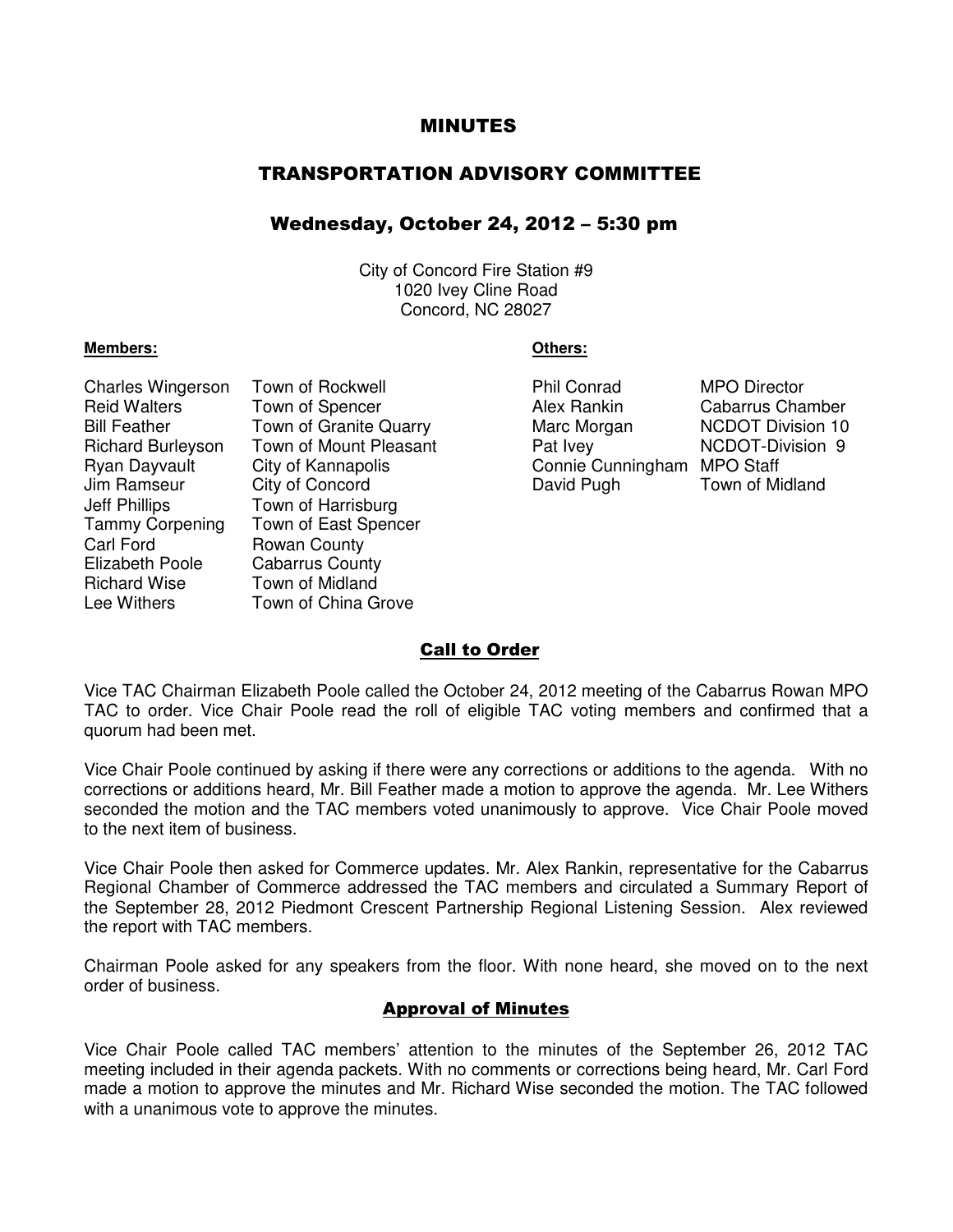# MINUTES

# TRANSPORTATION ADVISORY COMMITTEE

# Wednesday, October 24, 2012 – 5:30 pm

City of Concord Fire Station #9 1020 Ivey Cline Road Concord, NC 28027

#### **Members: Others:**

arles Wingerson Town of Rockwell **Example 20 Fill Conrad** MPO Director Town of Spencer **Alex Rankin** Cabarrus Chamber Town of Granite Quarry **Marc Morgan** NCDOT Division 10 Town of Mount Pleasant **Pat Ivey CONT-Division 9** City of Kannapolis Connie Cunningham MPO Staff City of Concord **David Pugh Town of Midland** Town of Harrisburg Town of East Spencer **Rowan County** Cabarrus County Town of Midland Town of China Grove

| Phil Conrad       |
|-------------------|
| Alex Rankin       |
| Marc Morgan       |
| Pat Ivey          |
| Connie Cunningham |
| David Pugh        |

# Call to Order

Vice TAC Chairman Elizabeth Poole called the October 24, 2012 meeting of the Cabarrus Rowan MPO TAC to order. Vice Chair Poole read the roll of eligible TAC voting members and confirmed that a quorum had been met.

Vice Chair Poole continued by asking if there were any corrections or additions to the agenda. With no corrections or additions heard, Mr. Bill Feather made a motion to approve the agenda. Mr. Lee Withers seconded the motion and the TAC members voted unanimously to approve. Vice Chair Poole moved to the next item of business.

Vice Chair Poole then asked for Commerce updates. Mr. Alex Rankin, representative for the Cabarrus Regional Chamber of Commerce addressed the TAC members and circulated a Summary Report of the September 28, 2012 Piedmont Crescent Partnership Regional Listening Session. Alex reviewed the report with TAC members.

Chairman Poole asked for any speakers from the floor. With none heard, she moved on to the next order of business.

#### Approval of Minutes

Vice Chair Poole called TAC members' attention to the minutes of the September 26, 2012 TAC meeting included in their agenda packets. With no comments or corrections being heard, Mr. Carl Ford made a motion to approve the minutes and Mr. Richard Wise seconded the motion. The TAC followed with a unanimous vote to approve the minutes.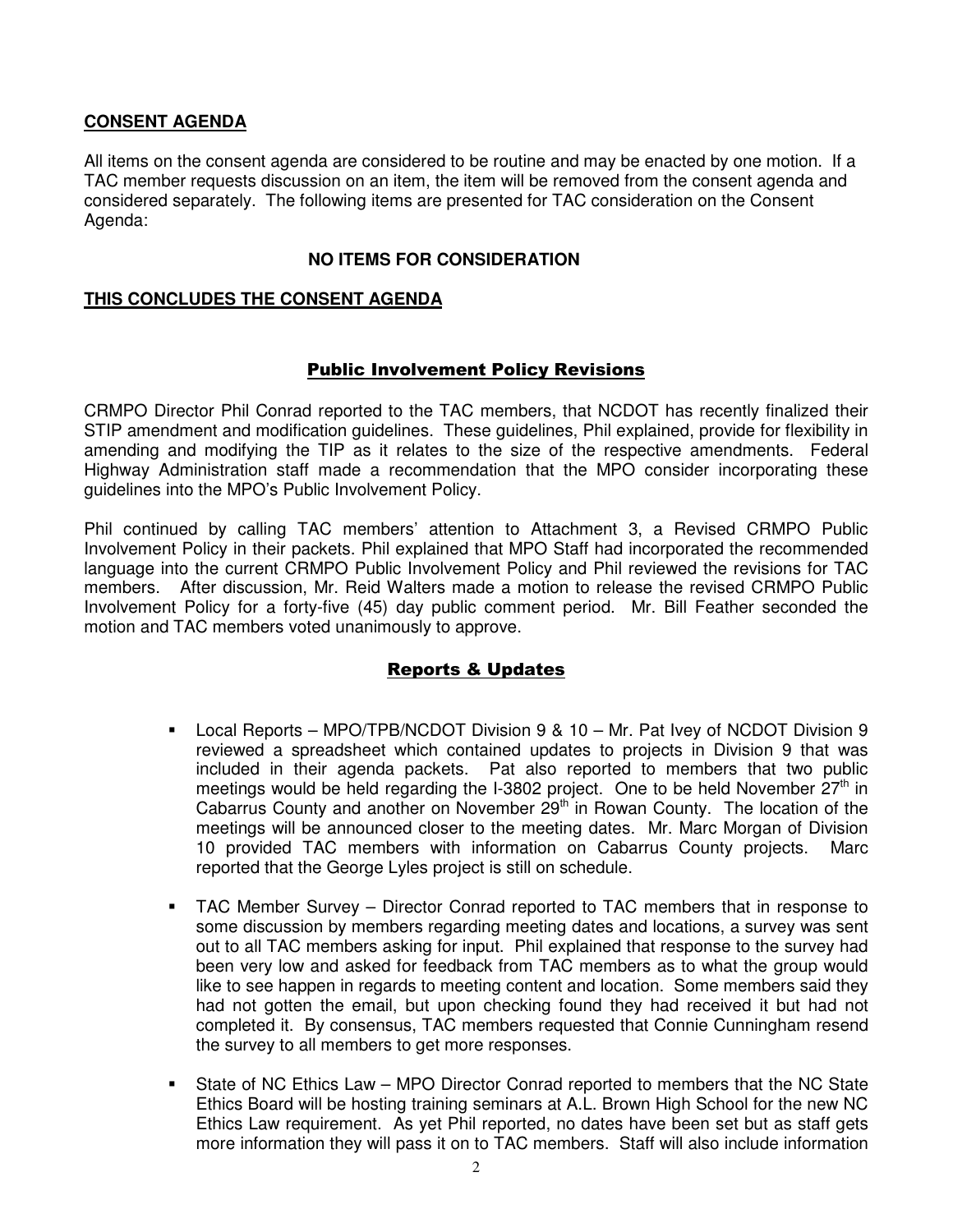# **CONSENT AGENDA**

All items on the consent agenda are considered to be routine and may be enacted by one motion. If a TAC member requests discussion on an item, the item will be removed from the consent agenda and considered separately. The following items are presented for TAC consideration on the Consent Agenda:

# **NO ITEMS FOR CONSIDERATION**

## **THIS CONCLUDES THE CONSENT AGENDA**

### Public Involvement Policy Revisions

CRMPO Director Phil Conrad reported to the TAC members, that NCDOT has recently finalized their STIP amendment and modification guidelines. These guidelines, Phil explained, provide for flexibility in amending and modifying the TIP as it relates to the size of the respective amendments. Federal Highway Administration staff made a recommendation that the MPO consider incorporating these guidelines into the MPO's Public Involvement Policy.

Phil continued by calling TAC members' attention to Attachment 3, a Revised CRMPO Public Involvement Policy in their packets. Phil explained that MPO Staff had incorporated the recommended language into the current CRMPO Public Involvement Policy and Phil reviewed the revisions for TAC members. After discussion, Mr. Reid Walters made a motion to release the revised CRMPO Public Involvement Policy for a forty-five (45) day public comment period. Mr. Bill Feather seconded the motion and TAC members voted unanimously to approve.

# Reports & Updates

- Local Reports MPO/TPB/NCDOT Division 9 & 10 Mr. Pat Ivey of NCDOT Division 9 reviewed a spreadsheet which contained updates to projects in Division 9 that was included in their agenda packets. Pat also reported to members that two public meetings would be held regarding the  $1-3802$  project. One to be held November  $27<sup>th</sup>$  in Cabarrus County and another on November  $29<sup>th</sup>$  in Rowan County. The location of the meetings will be announced closer to the meeting dates. Mr. Marc Morgan of Division 10 provided TAC members with information on Cabarrus County projects. Marc reported that the George Lyles project is still on schedule.
- TAC Member Survey Director Conrad reported to TAC members that in response to some discussion by members regarding meeting dates and locations, a survey was sent out to all TAC members asking for input. Phil explained that response to the survey had been very low and asked for feedback from TAC members as to what the group would like to see happen in regards to meeting content and location. Some members said they had not gotten the email, but upon checking found they had received it but had not completed it. By consensus, TAC members requested that Connie Cunningham resend the survey to all members to get more responses.
- State of NC Ethics Law MPO Director Conrad reported to members that the NC State Ethics Board will be hosting training seminars at A.L. Brown High School for the new NC Ethics Law requirement. As yet Phil reported, no dates have been set but as staff gets more information they will pass it on to TAC members. Staff will also include information